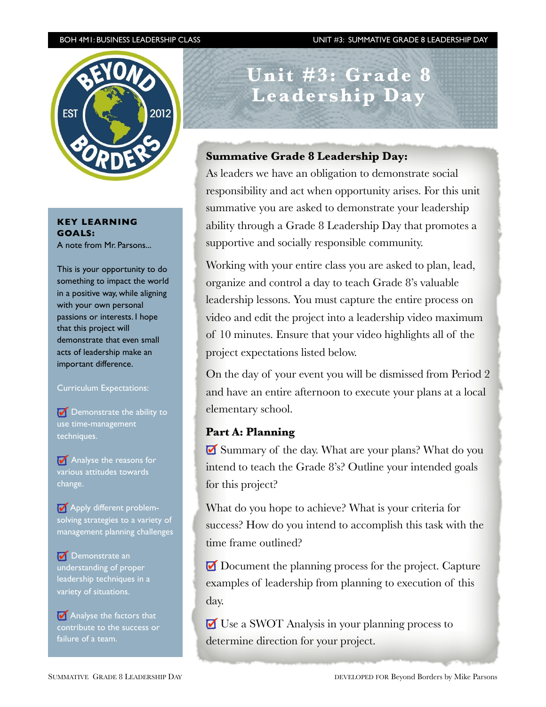BOH 4M1: BUSINESS LEADERSHIP CLASS UNIT #3: SUMMATIVE GRADE 8 LEADERSHIP DAY



**KEY LEARNING GOALS:** A note from Mr. Parsons...

This is your opportunity to do something to impact the world in a positive way, while aligning with your own personal passions or interests. I hope that this project will demonstrate that even small acts of leadership make an important difference.

#### Curriculum Expectations:

Demonstrate the ability to use time-management techniques.

**M** Analyse the reasons for various attitudes towards change.

**Apply different problem**solving strategies to a variety of management planning challenges

**Demonstrate an** understanding of proper leadership techniques in a variety of situations.

**Analyse the factors that** contribute to the success or failure of a team.

**Unit #3: Grade 8 Leadership Day** 

## **Summative Grade 8 Leadership Day:**

As leaders we have an obligation to demonstrate social responsibility and act when opportunity arises. For this unit summative you are asked to demonstrate your leadership ability through a Grade 8 Leadership Day that promotes a supportive and socially responsible community.

Working with your entire class you are asked to plan, lead, organize and control a day to teach Grade 8's valuable leadership lessons. You must capture the entire process on video and edit the project into a leadership video maximum of 10 minutes. Ensure that your video highlights all of the project expectations listed below.

On the day of your event you will be dismissed from Period 2 and have an entire afternoon to execute your plans at a local elementary school.

## **Part A: Planning**

Summary of the day. What are your plans? What do you intend to teach the Grade 8's? Outline your intended goals for this project?

What do you hope to achieve? What is your criteria for success? How do you intend to accomplish this task with the time frame outlined?

Document the planning process for the project. Capture examples of leadership from planning to execution of this day.

 $\blacksquare$  Use a SWOT Analysis in your planning process to determine direction for your project.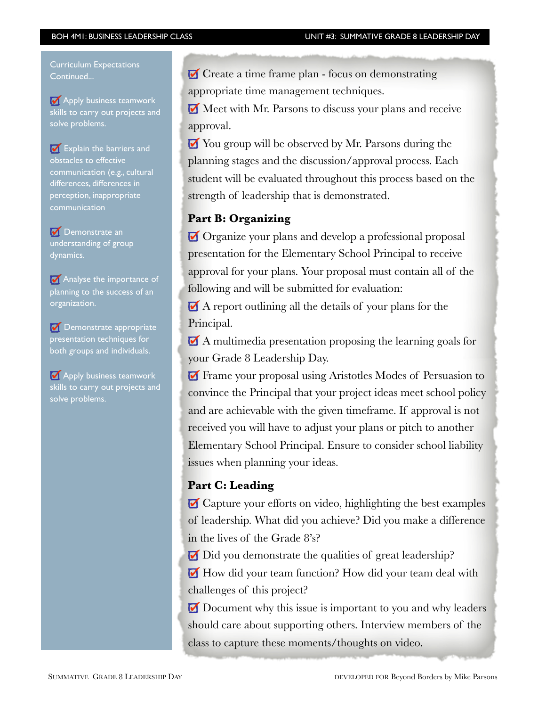í

Curriculum Expectations Continued...

**Apply business teamwork** skills to carry out projects and solve problems.

Explain the barriers and obstacles to effective communication (e.g., cultural differences, differences in perception, inappropriate communication

**Demonstrate an** understanding of group dynamics.

**Analyse the importance of** planning to the success of an organization.

**Demonstrate appropriate** presentation techniques for both groups and individuals.

**Apply business teamwork** skills to carry out projects and solve problems.

 $\blacksquare$  Create a time frame plan - focus on demonstrating appropriate time management techniques.

Meet with Mr. Parsons to discuss your plans and receive approval.

■ You group will be observed by Mr. Parsons during the planning stages and the discussion/approval process. Each student will be evaluated throughout this process based on the strength of leadership that is demonstrated.

# **Part B: Organizing**

Organize your plans and develop a professional proposal presentation for the Elementary School Principal to receive approval for your plans. Your proposal must contain all of the following and will be submitted for evaluation:

 A report outlining all the details of your plans for the Principal.

 A multimedia presentation proposing the learning goals for your Grade 8 Leadership Day.

 Frame your proposal using Aristotles Modes of Persuasion to convince the Principal that your project ideas meet school policy and are achievable with the given timeframe. If approval is not received you will have to adjust your plans or pitch to another Elementary School Principal. Ensure to consider school liability issues when planning your ideas.

# **Part C: Leading**

Capture your efforts on video, highlighting the best examples of leadership. What did you achieve? Did you make a difference in the lives of the Grade 8's?

 $\Box$  Did you demonstrate the qualities of great leadership?

How did your team function? How did your team deal with challenges of this project?

Document why this issue is important to you and why leaders should care about supporting others. Interview members of the class to capture these moments/thoughts on video.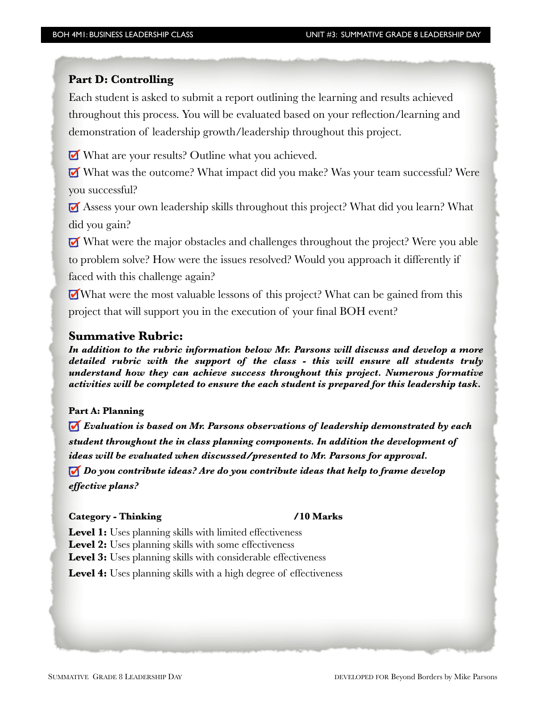# **Part D: Controlling**

í

Each student is asked to submit a report outlining the learning and results achieved throughout this process. You will be evaluated based on your reflection/learning and demonstration of leadership growth/leadership throughout this project.

What are your results? Outline what you achieved.

 What was the outcome? What impact did you make? Was your team successful? Were you successful?

 Assess your own leadership skills throughout this project? What did you learn? What did you gain?

 What were the major obstacles and challenges throughout the project? Were you able to problem solve? How were the issues resolved? Would you approach it differently if faced with this challenge again?

What were the most valuable lessons of this project? What can be gained from this project that will support you in the execution of your final BOH event?

### **Summative Rubric:**

*In addition to the rubric information below Mr. Parsons will discuss and develop a more detailed rubric with the support of the class - this will ensure all students truly understand how they can achieve success throughout this project. Numerous formative activities will be completed to ensure the each student is prepared for this leadership task.*

### **Part A: Planning**

*Evaluation is based on Mr. Parsons observations of leadership demonstrated by each student throughout the in class planning components. In addition the development of ideas will be evaluated when discussed/presented to Mr. Parsons for approval. Do you contribute ideas? Are do you contribute ideas that help to frame develop effective plans?*

#### Category - Thinking /10 Marks

Level 1: Uses planning skills with limited effectiveness

Level 2: Uses planning skills with some effectiveness

Level 3: Uses planning skills with considerable effectiveness

Level 4: Uses planning skills with a high degree of effectiveness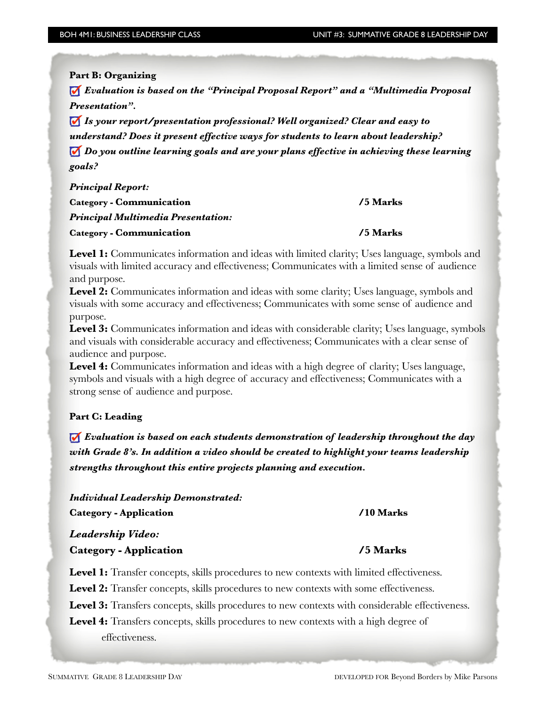**Part B: Organizing** 

í

 *Evaluation is based on the "Principal Proposal Report" and a "Multimedia Proposal Presentation".* 

*Is your report/presentation professional? Well organized? Clear and easy to understand? Does it present effective ways for students to learn about leadership? Do you outline learning goals and are your plans effective in achieving these learning goals?* 

*Principal Report:* Category - Communication *Access 15 Marks Marks Principal Multimedia Presentation:*  Category - Communication *Algebraica <b>15 Marks* 

**Level 1:** Communicates information and ideas with limited clarity; Uses language, symbols and visuals with limited accuracy and effectiveness; Communicates with a limited sense of audience and purpose.

**Level 2:** Communicates information and ideas with some clarity; Uses language, symbols and visuals with some accuracy and effectiveness; Communicates with some sense of audience and purpose.

Level 3: Communicates information and ideas with considerable clarity; Uses language, symbols and visuals with considerable accuracy and effectiveness; Communicates with a clear sense of audience and purpose.

Level 4: Communicates information and ideas with a high degree of clarity; Uses language, symbols and visuals with a high degree of accuracy and effectiveness; Communicates with a strong sense of audience and purpose.

### **Part C: Leading**

 *Evaluation is based on each students demonstration of leadership throughout the day with Grade 8's. In addition a video should be created to highlight your teams leadership strengths throughout this entire projects planning and execution.* 

*Individual Leadership Demonstrated:*  Category - Application  **/10 Marks** 

*Leadership Video:*  Category - Application **1996** / 5 Marks

**Level 1:** Transfer concepts, skills procedures to new contexts with limited effectiveness.

Level 2: Transfer concepts, skills procedures to new contexts with some effectiveness.

Level 3: Transfers concepts, skills procedures to new contexts with considerable effectiveness.

**Level 4:** Transfers concepts, skills procedures to new contexts with a high degree of effectiveness.